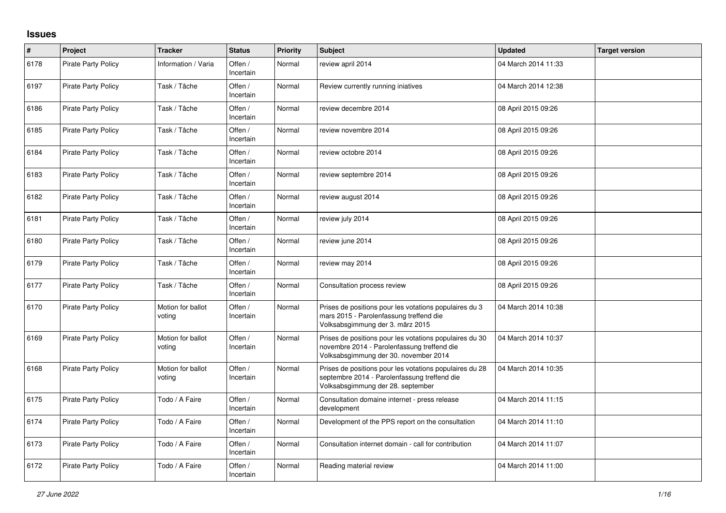## **Issues**

| #    | Project                    | <b>Tracker</b>              | <b>Status</b>        | <b>Priority</b> | <b>Subject</b>                                                                                                                                  | <b>Updated</b>      | <b>Target version</b> |
|------|----------------------------|-----------------------------|----------------------|-----------------|-------------------------------------------------------------------------------------------------------------------------------------------------|---------------------|-----------------------|
| 6178 | <b>Pirate Party Policy</b> | Information / Varia         | Offen /<br>Incertain | Normal          | review april 2014                                                                                                                               | 04 March 2014 11:33 |                       |
| 6197 | <b>Pirate Party Policy</b> | Task / Tâche                | Offen /<br>Incertain | Normal          | Review currently running iniatives                                                                                                              | 04 March 2014 12:38 |                       |
| 6186 | <b>Pirate Party Policy</b> | Task / Tâche                | Offen /<br>Incertain | Normal          | review decembre 2014                                                                                                                            | 08 April 2015 09:26 |                       |
| 6185 | Pirate Party Policy        | Task / Tâche                | Offen /<br>Incertain | Normal          | review novembre 2014                                                                                                                            | 08 April 2015 09:26 |                       |
| 6184 | <b>Pirate Party Policy</b> | Task / Tâche                | Offen /<br>Incertain | Normal          | review octobre 2014                                                                                                                             | 08 April 2015 09:26 |                       |
| 6183 | <b>Pirate Party Policy</b> | Task / Tâche                | Offen /<br>Incertain | Normal          | review septembre 2014                                                                                                                           | 08 April 2015 09:26 |                       |
| 6182 | <b>Pirate Party Policy</b> | Task / Tâche                | Offen /<br>Incertain | Normal          | review august 2014                                                                                                                              | 08 April 2015 09:26 |                       |
| 6181 | <b>Pirate Party Policy</b> | Task / Tâche                | Offen /<br>Incertain | Normal          | review july 2014                                                                                                                                | 08 April 2015 09:26 |                       |
| 6180 | <b>Pirate Party Policy</b> | Task / Tâche                | Offen /<br>Incertain | Normal          | review june 2014                                                                                                                                | 08 April 2015 09:26 |                       |
| 6179 | Pirate Party Policy        | Task / Tâche                | Offen /<br>Incertain | Normal          | review may 2014                                                                                                                                 | 08 April 2015 09:26 |                       |
| 6177 | <b>Pirate Party Policy</b> | Task / Tâche                | Offen /<br>Incertain | Normal          | Consultation process review                                                                                                                     | 08 April 2015 09:26 |                       |
| 6170 | <b>Pirate Party Policy</b> | Motion for ballot<br>voting | Offen /<br>Incertain | Normal          | Prises de positions pour les votations populaires du 3<br>mars 2015 - Parolenfassung treffend die<br>Volksabsgimmung der 3. märz 2015           | 04 March 2014 10:38 |                       |
| 6169 | <b>Pirate Party Policy</b> | Motion for ballot<br>voting | Offen /<br>Incertain | Normal          | Prises de positions pour les votations populaires du 30<br>novembre 2014 - Parolenfassung treffend die<br>Volksabsgimmung der 30. november 2014 | 04 March 2014 10:37 |                       |
| 6168 | <b>Pirate Party Policy</b> | Motion for ballot<br>voting | Offen /<br>Incertain | Normal          | Prises de positions pour les votations populaires du 28<br>septembre 2014 - Parolenfassung treffend die<br>Volksabsgimmung der 28. september    | 04 March 2014 10:35 |                       |
| 6175 | <b>Pirate Party Policy</b> | Todo / A Faire              | Offen /<br>Incertain | Normal          | Consultation domaine internet - press release<br>development                                                                                    | 04 March 2014 11:15 |                       |
| 6174 | Pirate Party Policy        | Todo / A Faire              | Offen /<br>Incertain | Normal          | Development of the PPS report on the consultation                                                                                               | 04 March 2014 11:10 |                       |
| 6173 | <b>Pirate Party Policy</b> | Todo / A Faire              | Offen /<br>Incertain | Normal          | Consultation internet domain - call for contribution                                                                                            | 04 March 2014 11:07 |                       |
| 6172 | <b>Pirate Party Policy</b> | Todo / A Faire              | Offen /<br>Incertain | Normal          | Reading material review                                                                                                                         | 04 March 2014 11:00 |                       |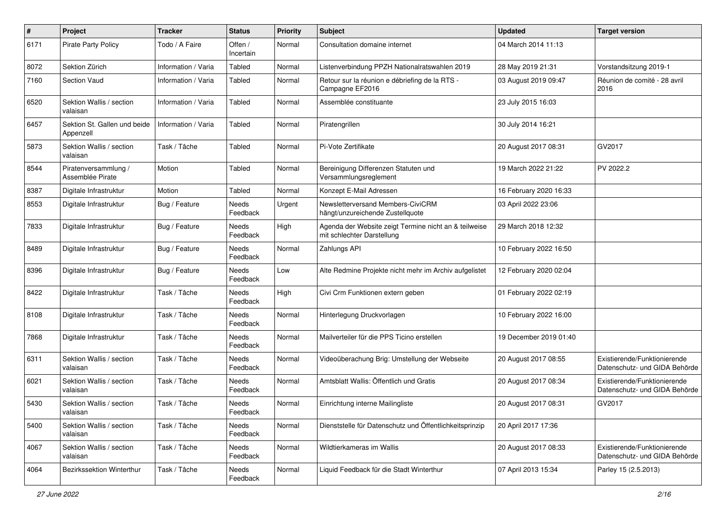| $\#$ | Project                                   | <b>Tracker</b>      | <b>Status</b>            | <b>Priority</b> | <b>Subject</b>                                                                      | <b>Updated</b>         | <b>Target version</b>                                         |
|------|-------------------------------------------|---------------------|--------------------------|-----------------|-------------------------------------------------------------------------------------|------------------------|---------------------------------------------------------------|
| 6171 | Pirate Party Policy                       | Todo / A Faire      | Offen /<br>Incertain     | Normal          | Consultation domaine internet                                                       | 04 March 2014 11:13    |                                                               |
| 8072 | Sektion Zürich                            | Information / Varia | Tabled                   | Normal          | Listenverbindung PPZH Nationalratswahlen 2019                                       | 28 May 2019 21:31      | Vorstandsitzung 2019-1                                        |
| 7160 | <b>Section Vaud</b>                       | Information / Varia | Tabled                   | Normal          | Retour sur la réunion e débriefing de la RTS -<br>Campagne EF2016                   | 03 August 2019 09:47   | Réunion de comité - 28 avril<br>2016                          |
| 6520 | Sektion Wallis / section<br>valaisan      | Information / Varia | Tabled                   | Normal          | Assemblée constituante                                                              | 23 July 2015 16:03     |                                                               |
| 6457 | Sektion St. Gallen und beide<br>Appenzell | Information / Varia | Tabled                   | Normal          | Piratengrillen                                                                      | 30 July 2014 16:21     |                                                               |
| 5873 | Sektion Wallis / section<br>valaisan      | Task / Tâche        | Tabled                   | Normal          | Pi-Vote Zertifikate                                                                 | 20 August 2017 08:31   | GV2017                                                        |
| 8544 | Piratenversammlung /<br>Assemblée Pirate  | Motion              | Tabled                   | Normal          | Bereinigung Differenzen Statuten und<br>Versammlungsreglement                       | 19 March 2022 21:22    | PV 2022.2                                                     |
| 8387 | Digitale Infrastruktur                    | Motion              | Tabled                   | Normal          | Konzept E-Mail Adressen                                                             | 16 February 2020 16:33 |                                                               |
| 8553 | Digitale Infrastruktur                    | Bug / Feature       | Needs<br>Feedback        | Urgent          | Newsletterversand Members-CiviCRM<br>hängt/unzureichende Zustellquote               | 03 April 2022 23:06    |                                                               |
| 7833 | Digitale Infrastruktur                    | Bug / Feature       | Needs<br>Feedback        | High            | Agenda der Website zeigt Termine nicht an & teilweise<br>mit schlechter Darstellung | 29 March 2018 12:32    |                                                               |
| 8489 | Digitale Infrastruktur                    | Bug / Feature       | Needs<br>Feedback        | Normal          | Zahlungs API                                                                        | 10 February 2022 16:50 |                                                               |
| 8396 | Digitale Infrastruktur                    | Bug / Feature       | <b>Needs</b><br>Feedback | Low             | Alte Redmine Projekte nicht mehr im Archiv aufgelistet                              | 12 February 2020 02:04 |                                                               |
| 8422 | Digitale Infrastruktur                    | Task / Tâche        | Needs<br>Feedback        | High            | Civi Crm Funktionen extern geben                                                    | 01 February 2022 02:19 |                                                               |
| 8108 | Digitale Infrastruktur                    | Task / Tâche        | Needs<br>Feedback        | Normal          | Hinterlegung Druckvorlagen                                                          | 10 February 2022 16:00 |                                                               |
| 7868 | Digitale Infrastruktur                    | Task / Tâche        | Needs<br>Feedback        | Normal          | Mailverteiler für die PPS Ticino erstellen                                          | 19 December 2019 01:40 |                                                               |
| 6311 | Sektion Wallis / section<br>valaisan      | Task / Tâche        | Needs<br>Feedback        | Normal          | Videoüberachung Brig: Umstellung der Webseite                                       | 20 August 2017 08:55   | Existierende/Funktionierende<br>Datenschutz- und GIDA Behörde |
| 6021 | Sektion Wallis / section<br>valaisan      | Task / Tâche        | Needs<br>Feedback        | Normal          | Amtsblatt Wallis: Öffentlich und Gratis                                             | 20 August 2017 08:34   | Existierende/Funktionierende<br>Datenschutz- und GIDA Behörde |
| 5430 | Sektion Wallis / section<br>valaisan      | Task / Tâche        | Needs<br>Feedback        | Normal          | Einrichtung interne Mailingliste                                                    | 20 August 2017 08:31   | GV2017                                                        |
| 5400 | Sektion Wallis / section<br>valaisan      | Task / Tâche        | Needs<br>Feedback        | Normal          | Dienststelle für Datenschutz und Öffentlichkeitsprinzip                             | 20 April 2017 17:36    |                                                               |
| 4067 | Sektion Wallis / section<br>valaisan      | Task / Tâche        | Needs<br>Feedback        | Normal          | Wildtierkameras im Wallis                                                           | 20 August 2017 08:33   | Existierende/Funktionierende<br>Datenschutz- und GIDA Behörde |
| 4064 | Bezirkssektion Winterthur                 | Task / Tâche        | Needs<br>Feedback        | Normal          | Liquid Feedback für die Stadt Winterthur                                            | 07 April 2013 15:34    | Parley 15 (2.5.2013)                                          |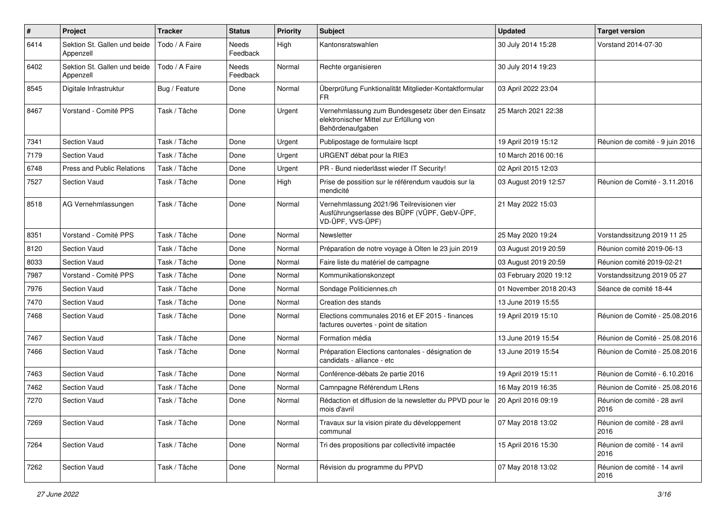| $\pmb{\#}$ | Project                                   | <b>Tracker</b> | <b>Status</b>     | <b>Priority</b> | Subject                                                                                                         | <b>Updated</b>         | <b>Target version</b>                |
|------------|-------------------------------------------|----------------|-------------------|-----------------|-----------------------------------------------------------------------------------------------------------------|------------------------|--------------------------------------|
| 6414       | Sektion St. Gallen und beide<br>Appenzell | Todo / A Faire | Needs<br>Feedback | High            | Kantonsratswahlen                                                                                               | 30 July 2014 15:28     | Vorstand 2014-07-30                  |
| 6402       | Sektion St. Gallen und beide<br>Appenzell | Todo / A Faire | Needs<br>Feedback | Normal          | Rechte organisieren                                                                                             | 30 July 2014 19:23     |                                      |
| 8545       | Digitale Infrastruktur                    | Bug / Feature  | Done              | Normal          | Überprüfung Funktionalität Mitglieder-Kontaktformular<br>FR                                                     | 03 April 2022 23:04    |                                      |
| 8467       | Vorstand - Comité PPS                     | Task / Tâche   | Done              | Urgent          | Vernehmlassung zum Bundesgesetz über den Einsatz<br>elektronischer Mittel zur Erfüllung von<br>Behördenaufgaben | 25 March 2021 22:38    |                                      |
| 7341       | Section Vaud                              | Task / Tâche   | Done              | Urgent          | Publipostage de formulaire Iscpt                                                                                | 19 April 2019 15:12    | Réunion de comité - 9 juin 2016      |
| 7179       | Section Vaud                              | Task / Tâche   | Done              | Urgent          | URGENT débat pour la RIE3                                                                                       | 10 March 2016 00:16    |                                      |
| 6748       | Press and Public Relations                | Task / Tâche   | Done              | Urgent          | PR - Bund niederlässt wieder IT Security!                                                                       | 02 April 2015 12:03    |                                      |
| 7527       | <b>Section Vaud</b>                       | Task / Tâche   | Done              | High            | Prise de possition sur le référendum vaudois sur la<br>mendicité                                                | 03 August 2019 12:57   | Réunion de Comité - 3.11.2016        |
| 8518       | AG Vernehmlassungen                       | Task / Tâche   | Done              | Normal          | Vernehmlassung 2021/96 Teilrevisionen vier<br>Ausführungserlasse des BÜPF (VÜPF, GebV-ÜPF,<br>VD-ÜPF, VVS-ÜPF)  | 21 May 2022 15:03      |                                      |
| 8351       | Vorstand - Comité PPS                     | Task / Tâche   | Done              | Normal          | Newsletter                                                                                                      | 25 May 2020 19:24      | Vorstandssitzung 2019 11 25          |
| 8120       | Section Vaud                              | Task / Tâche   | Done              | Normal          | Préparation de notre voyage à Olten le 23 juin 2019                                                             | 03 August 2019 20:59   | Réunion comité 2019-06-13            |
| 8033       | <b>Section Vaud</b>                       | Task / Tâche   | Done              | Normal          | Faire liste du matériel de campagne                                                                             | 03 August 2019 20:59   | Réunion comité 2019-02-21            |
| 7987       | Vorstand - Comité PPS                     | Task / Tâche   | Done              | Normal          | Kommunikationskonzept                                                                                           | 03 February 2020 19:12 | Vorstandssitzung 2019 05 27          |
| 7976       | <b>Section Vaud</b>                       | Task / Tâche   | Done              | Normal          | Sondage Politiciennes.ch                                                                                        | 01 November 2018 20:43 | Séance de comité 18-44               |
| 7470       | <b>Section Vaud</b>                       | Task / Tâche   | Done              | Normal          | Creation des stands                                                                                             | 13 June 2019 15:55     |                                      |
| 7468       | <b>Section Vaud</b>                       | Task / Tâche   | Done              | Normal          | Elections communales 2016 et EF 2015 - finances<br>factures ouvertes - point de sitation                        | 19 April 2019 15:10    | Réunion de Comité - 25.08.2016       |
| 7467       | Section Vaud                              | Task / Tâche   | Done              | Normal          | Formation média                                                                                                 | 13 June 2019 15:54     | Réunion de Comité - 25.08.2016       |
| 7466       | <b>Section Vaud</b>                       | Task / Tâche   | Done              | Normal          | Préparation Elections cantonales - désignation de<br>candidats - alliance - etc                                 | 13 June 2019 15:54     | Réunion de Comité - 25.08.2016       |
| 7463       | <b>Section Vaud</b>                       | Task / Tâche   | Done              | Normal          | Conférence-débats 2e partie 2016                                                                                | 19 April 2019 15:11    | Réunion de Comité - 6.10.2016        |
| 7462       | <b>Section Vaud</b>                       | Task / Tâche   | Done              | Normal          | Camnpagne Référendum LRens                                                                                      | 16 May 2019 16:35      | Réunion de Comité - 25.08.2016       |
| 7270       | <b>Section Vaud</b>                       | Task / Tâche   | Done              | Normal          | Rédaction et diffusion de la newsletter du PPVD pour le<br>mois d'avril                                         | 20 April 2016 09:19    | Réunion de comité - 28 avril<br>2016 |
| 7269       | Section Vaud                              | Task / Tâche   | Done              | Normal          | Travaux sur la vision pirate du développement<br>communal                                                       | 07 May 2018 13:02      | Réunion de comité - 28 avril<br>2016 |
| 7264       | Section Vaud                              | Task / Tâche   | Done              | Normal          | Tri des propositions par collectivité impactée                                                                  | 15 April 2016 15:30    | Réunion de comité - 14 avril<br>2016 |
| 7262       | Section Vaud                              | Task / Tâche   | Done              | Normal          | Révision du programme du PPVD                                                                                   | 07 May 2018 13:02      | Réunion de comité - 14 avril<br>2016 |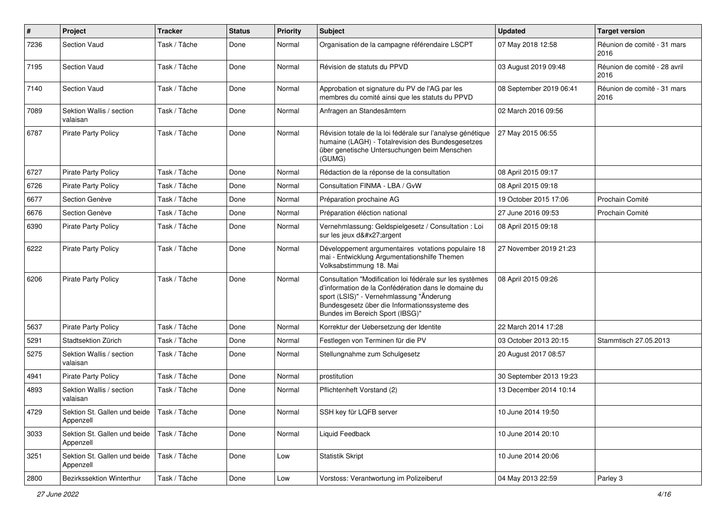| $\pmb{\#}$ | Project                                                  | <b>Tracker</b> | <b>Status</b> | <b>Priority</b> | <b>Subject</b>                                                                                                                                                                                                                                   | <b>Updated</b>          | <b>Target version</b>                |
|------------|----------------------------------------------------------|----------------|---------------|-----------------|--------------------------------------------------------------------------------------------------------------------------------------------------------------------------------------------------------------------------------------------------|-------------------------|--------------------------------------|
| 7236       | Section Vaud                                             | Task / Tâche   | Done          | Normal          | Organisation de la campagne référendaire LSCPT                                                                                                                                                                                                   | 07 May 2018 12:58       | Réunion de comité - 31 mars<br>2016  |
| 7195       | Section Vaud                                             | Task / Tâche   | Done          | Normal          | Révision de statuts du PPVD                                                                                                                                                                                                                      | 03 August 2019 09:48    | Réunion de comité - 28 avril<br>2016 |
| 7140       | <b>Section Vaud</b>                                      | Task / Tâche   | Done          | Normal          | Approbation et signature du PV de l'AG par les<br>membres du comité ainsi que les statuts du PPVD                                                                                                                                                | 08 September 2019 06:41 | Réunion de comité - 31 mars<br>2016  |
| 7089       | Sektion Wallis / section<br>valaisan                     | Task / Tâche   | Done          | Normal          | Anfragen an Standesämtern                                                                                                                                                                                                                        | 02 March 2016 09:56     |                                      |
| 6787       | Pirate Party Policy                                      | Task / Tâche   | Done          | Normal          | Révision totale de la loi fédérale sur l'analyse génétique<br>humaine (LAGH) - Totalrevision des Bundesgesetzes<br>über genetische Untersuchungen beim Menschen<br>(GUMG)                                                                        | 27 May 2015 06:55       |                                      |
| 6727       | <b>Pirate Party Policy</b>                               | Task / Tâche   | Done          | Normal          | Rédaction de la réponse de la consultation                                                                                                                                                                                                       | 08 April 2015 09:17     |                                      |
| 6726       | <b>Pirate Party Policy</b>                               | Task / Tâche   | Done          | Normal          | Consultation FINMA - LBA / GvW                                                                                                                                                                                                                   | 08 April 2015 09:18     |                                      |
| 6677       | Section Genève                                           | Task / Tâche   | Done          | Normal          | Préparation prochaine AG                                                                                                                                                                                                                         | 19 October 2015 17:06   | Prochain Comité                      |
| 6676       | Section Genève                                           | Task / Tâche   | Done          | Normal          | Préparation éléction national                                                                                                                                                                                                                    | 27 June 2016 09:53      | Prochain Comité                      |
| 6390       | Pirate Party Policy                                      | Task / Tâche   | Done          | Normal          | Vernehmlassung: Geldspielgesetz / Consultation : Loi<br>sur les jeux d'argent                                                                                                                                                                    | 08 April 2015 09:18     |                                      |
| 6222       | <b>Pirate Party Policy</b>                               | Task / Tâche   | Done          | Normal          | Développement argumentaires votations populaire 18<br>mai - Entwicklung Argumentationshilfe Themen<br>Volksabstimmung 18. Mai                                                                                                                    | 27 November 2019 21:23  |                                      |
| 6206       | <b>Pirate Party Policy</b>                               | Task / Tâche   | Done          | Normal          | Consultation "Modification loi fédérale sur les systèmes<br>d'information de la Confédération dans le domaine du<br>sport (LSIS)" - Vernehmlassung "Änderung<br>Bundesgesetz über die Informationssysteme des<br>Bundes im Bereich Sport (IBSG)" | 08 April 2015 09:26     |                                      |
| 5637       | <b>Pirate Party Policy</b>                               | Task / Tâche   | Done          | Normal          | Korrektur der Uebersetzung der Identite                                                                                                                                                                                                          | 22 March 2014 17:28     |                                      |
| 5291       | Stadtsektion Zürich                                      | Task / Tâche   | Done          | Normal          | Festlegen von Terminen für die PV                                                                                                                                                                                                                | 03 October 2013 20:15   | Stammtisch 27.05.2013                |
| 5275       | Sektion Wallis / section<br>valaisan                     | Task / Tâche   | Done          | Normal          | Stellungnahme zum Schulgesetz                                                                                                                                                                                                                    | 20 August 2017 08:57    |                                      |
| 4941       | Pirate Party Policy                                      | Task / Tâche   | Done          | Normal          | prostitution                                                                                                                                                                                                                                     | 30 September 2013 19:23 |                                      |
| 4893       | Sektion Wallis / section<br>valaisan                     | Task / Tâche   | Done          | Normal          | Pflichtenheft Vorstand (2)                                                                                                                                                                                                                       | 13 December 2014 10:14  |                                      |
| 4729       | Sektion St. Gallen und beide   Task / Tâche<br>Appenzell |                | Done          | Normal          | SSH key für LQFB server                                                                                                                                                                                                                          | 10 June 2014 19:50      |                                      |
| 3033       | Sektion St. Gallen und beide<br>Appenzell                | Task / Tâche   | Done          | Normal          | Liquid Feedback                                                                                                                                                                                                                                  | 10 June 2014 20:10      |                                      |
| 3251       | Sektion St. Gallen und beide<br>Appenzell                | Task / Tâche   | Done          | Low             | <b>Statistik Skript</b>                                                                                                                                                                                                                          | 10 June 2014 20:06      |                                      |
| 2800       | Bezirkssektion Winterthur                                | Task / Tâche   | Done          | Low             | Vorstoss: Verantwortung im Polizeiberuf                                                                                                                                                                                                          | 04 May 2013 22:59       | Parley 3                             |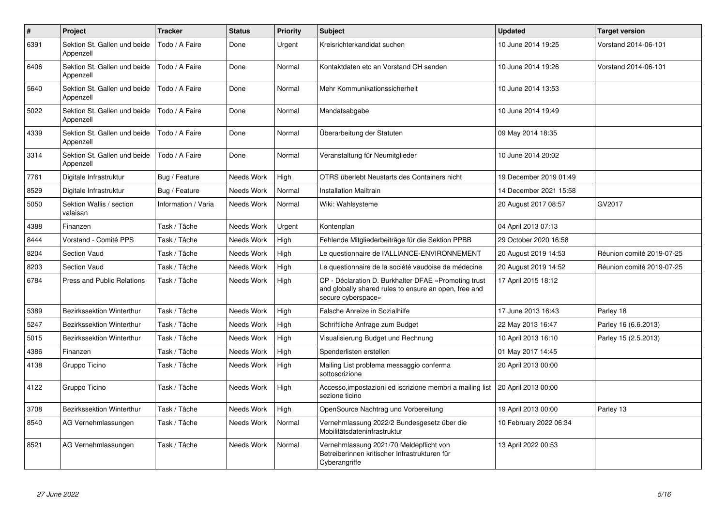| $\sharp$ | Project                                   | <b>Tracker</b>      | <b>Status</b> | <b>Priority</b> | <b>Subject</b>                                                                                                                      | <b>Updated</b>         | <b>Target version</b>     |
|----------|-------------------------------------------|---------------------|---------------|-----------------|-------------------------------------------------------------------------------------------------------------------------------------|------------------------|---------------------------|
| 6391     | Sektion St. Gallen und beide<br>Appenzell | Todo / A Faire      | Done          | Urgent          | Kreisrichterkandidat suchen                                                                                                         | 10 June 2014 19:25     | Vorstand 2014-06-101      |
| 6406     | Sektion St. Gallen und beide<br>Appenzell | Todo / A Faire      | Done          | Normal          | Kontaktdaten etc an Vorstand CH senden                                                                                              | 10 June 2014 19:26     | Vorstand 2014-06-101      |
| 5640     | Sektion St. Gallen und beide<br>Appenzell | Todo / A Faire      | Done          | Normal          | Mehr Kommunikationssicherheit                                                                                                       | 10 June 2014 13:53     |                           |
| 5022     | Sektion St. Gallen und beide<br>Appenzell | Todo / A Faire      | Done          | Normal          | Mandatsabgabe                                                                                                                       | 10 June 2014 19:49     |                           |
| 4339     | Sektion St. Gallen und beide<br>Appenzell | Todo / A Faire      | Done          | Normal          | Überarbeitung der Statuten                                                                                                          | 09 May 2014 18:35      |                           |
| 3314     | Sektion St. Gallen und beide<br>Appenzell | Todo / A Faire      | Done          | Normal          | Veranstaltung für Neumitglieder                                                                                                     | 10 June 2014 20:02     |                           |
| 7761     | Digitale Infrastruktur                    | Bug / Feature       | Needs Work    | High            | OTRS überlebt Neustarts des Containers nicht                                                                                        | 19 December 2019 01:49 |                           |
| 8529     | Digitale Infrastruktur                    | Bug / Feature       | Needs Work    | Normal          | <b>Installation Mailtrain</b>                                                                                                       | 14 December 2021 15:58 |                           |
| 5050     | Sektion Wallis / section<br>valaisan      | Information / Varia | Needs Work    | Normal          | Wiki: Wahlsysteme                                                                                                                   | 20 August 2017 08:57   | GV2017                    |
| 4388     | Finanzen                                  | Task / Tâche        | Needs Work    | Urgent          | Kontenplan                                                                                                                          | 04 April 2013 07:13    |                           |
| 8444     | Vorstand - Comité PPS                     | Task / Tâche        | Needs Work    | High            | Fehlende Mitgliederbeiträge für die Sektion PPBB                                                                                    | 29 October 2020 16:58  |                           |
| 8204     | Section Vaud                              | Task / Tâche        | Needs Work    | High            | Le questionnaire de l'ALLIANCE-ENVIRONNEMENT                                                                                        | 20 August 2019 14:53   | Réunion comité 2019-07-25 |
| 8203     | Section Vaud                              | Task / Tâche        | Needs Work    | High            | Le questionnaire de la société vaudoise de médecine                                                                                 | 20 August 2019 14:52   | Réunion comité 2019-07-25 |
| 6784     | <b>Press and Public Relations</b>         | Task / Tâche        | Needs Work    | High            | CP - Déclaration D. Burkhalter DFAE «Promoting trust<br>and globally shared rules to ensure an open, free and<br>secure cyberspace» | 17 April 2015 18:12    |                           |
| 5389     | Bezirkssektion Winterthur                 | Task / Tâche        | Needs Work    | High            | Falsche Anreize in Sozialhilfe                                                                                                      | 17 June 2013 16:43     | Parley 18                 |
| 5247     | <b>Bezirkssektion Winterthur</b>          | Task / Tâche        | Needs Work    | High            | Schriftliche Anfrage zum Budget                                                                                                     | 22 May 2013 16:47      | Parley 16 (6.6.2013)      |
| 5015     | <b>Bezirkssektion Winterthur</b>          | Task / Tâche        | Needs Work    | High            | Visualisierung Budget und Rechnung                                                                                                  | 10 April 2013 16:10    | Parley 15 (2.5.2013)      |
| 4386     | Finanzen                                  | Task / Tâche        | Needs Work    | High            | Spenderlisten erstellen                                                                                                             | 01 May 2017 14:45      |                           |
| 4138     | Gruppo Ticino                             | Task / Tâche        | Needs Work    | High            | Mailing List problema messaggio conferma<br>sottoscrizione                                                                          | 20 April 2013 00:00    |                           |
| 4122     | Gruppo Ticino                             | Task / Tâche        | Needs Work    | High            | Accesso, impostazioni ed iscrizione membri a mailing list   20 April 2013 00:00<br>sezione ticino                                   |                        |                           |
| 3708     | <b>Bezirkssektion Winterthur</b>          | Task / Tâche        | Needs Work    | High            | OpenSource Nachtrag und Vorbereitung                                                                                                | 19 April 2013 00:00    | Parley 13                 |
| 8540     | AG Vernehmlassungen                       | Task / Tâche        | Needs Work    | Normal          | Vernehmlassung 2022/2 Bundesgesetz über die<br>Mobilitätsdateninfrastruktur                                                         | 10 February 2022 06:34 |                           |
| 8521     | AG Vernehmlassungen                       | Task / Tâche        | Needs Work    | Normal          | Vernehmlassung 2021/70 Meldepflicht von<br>Betreiberinnen kritischer Infrastrukturen für<br>Cyberangriffe                           | 13 April 2022 00:53    |                           |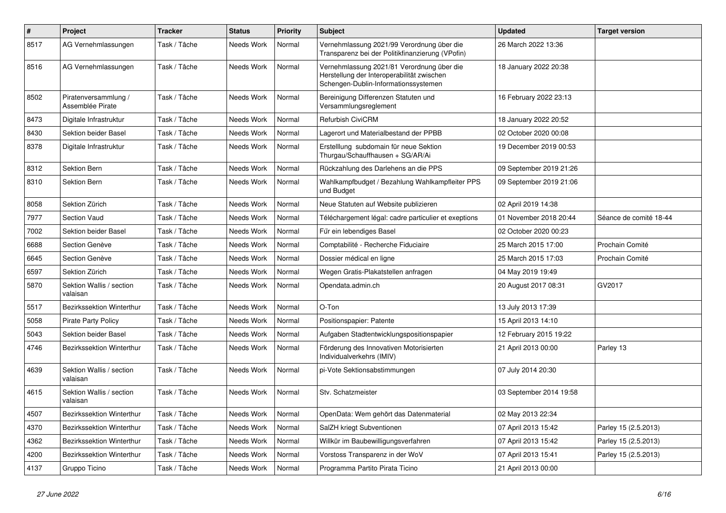| $\#$ | Project                                  | <b>Tracker</b> | <b>Status</b> | <b>Priority</b> | <b>Subject</b>                                                                                                                   | <b>Updated</b>          | <b>Target version</b>  |
|------|------------------------------------------|----------------|---------------|-----------------|----------------------------------------------------------------------------------------------------------------------------------|-------------------------|------------------------|
| 8517 | AG Vernehmlassungen                      | Task / Tâche   | Needs Work    | Normal          | Vernehmlassung 2021/99 Verordnung über die<br>Transparenz bei der Politikfinanzierung (VPofin)                                   | 26 March 2022 13:36     |                        |
| 8516 | AG Vernehmlassungen                      | Task / Tâche   | Needs Work    | Normal          | Vernehmlassung 2021/81 Verordnung über die<br>Herstellung der Interoperabilität zwischen<br>Schengen-Dublin-Informationssystemen | 18 January 2022 20:38   |                        |
| 8502 | Piratenversammlung /<br>Assemblée Pirate | Task / Tâche   | Needs Work    | Normal          | Bereinigung Differenzen Statuten und<br>Versammlungsreglement                                                                    | 16 February 2022 23:13  |                        |
| 8473 | Digitale Infrastruktur                   | Task / Tâche   | Needs Work    | Normal          | <b>Refurbish CiviCRM</b>                                                                                                         | 18 January 2022 20:52   |                        |
| 8430 | Sektion beider Basel                     | Task / Tâche   | Needs Work    | Normal          | Lagerort und Materialbestand der PPBB                                                                                            | 02 October 2020 00:08   |                        |
| 8378 | Digitale Infrastruktur                   | Task / Tâche   | Needs Work    | Normal          | Erstelllung subdomain für neue Sektion<br>Thurgau/Schauffhausen + SG/AR/Ai                                                       | 19 December 2019 00:53  |                        |
| 8312 | Sektion Bern                             | Task / Tâche   | Needs Work    | Normal          | Rückzahlung des Darlehens an die PPS                                                                                             | 09 September 2019 21:26 |                        |
| 8310 | Sektion Bern                             | Task / Tâche   | Needs Work    | Normal          | Wahlkampfbudget / Bezahlung Wahlkampfleiter PPS<br>und Budget                                                                    | 09 September 2019 21:06 |                        |
| 8058 | Sektion Zürich                           | Task / Tâche   | Needs Work    | Normal          | Neue Statuten auf Website publizieren                                                                                            | 02 April 2019 14:38     |                        |
| 7977 | <b>Section Vaud</b>                      | Task / Tâche   | Needs Work    | Normal          | Téléchargement légal: cadre particulier et exeptions                                                                             | 01 November 2018 20:44  | Séance de comité 18-44 |
| 7002 | Sektion beider Basel                     | Task / Tâche   | Needs Work    | Normal          | Für ein lebendiges Basel                                                                                                         | 02 October 2020 00:23   |                        |
| 6688 | Section Genève                           | Task / Tâche   | Needs Work    | Normal          | Comptabilité - Recherche Fiduciaire                                                                                              | 25 March 2015 17:00     | Prochain Comité        |
| 6645 | Section Genève                           | Task / Tâche   | Needs Work    | Normal          | Dossier médical en ligne                                                                                                         | 25 March 2015 17:03     | Prochain Comité        |
| 6597 | Sektion Zürich                           | Task / Tâche   | Needs Work    | Normal          | Wegen Gratis-Plakatstellen anfragen                                                                                              | 04 May 2019 19:49       |                        |
| 5870 | Sektion Wallis / section<br>valaisan     | Task / Tâche   | Needs Work    | Normal          | Opendata.admin.ch                                                                                                                | 20 August 2017 08:31    | GV2017                 |
| 5517 | Bezirkssektion Winterthur                | Task / Tâche   | Needs Work    | Normal          | O-Ton                                                                                                                            | 13 July 2013 17:39      |                        |
| 5058 | <b>Pirate Party Policy</b>               | Task / Tâche   | Needs Work    | Normal          | Positionspapier: Patente                                                                                                         | 15 April 2013 14:10     |                        |
| 5043 | Sektion beider Basel                     | Task / Tâche   | Needs Work    | Normal          | Aufgaben Stadtentwicklungspositionspapier                                                                                        | 12 February 2015 19:22  |                        |
| 4746 | Bezirkssektion Winterthur                | Task / Tâche   | Needs Work    | Normal          | Förderung des Innovativen Motorisierten<br>Individualverkehrs (IMIV)                                                             | 21 April 2013 00:00     | Parley 13              |
| 4639 | Sektion Wallis / section<br>valaisan     | Task / Tâche   | Needs Work    | Normal          | pi-Vote Sektionsabstimmungen                                                                                                     | 07 July 2014 20:30      |                        |
| 4615 | Sektion Wallis / section<br>valaisan     | Task / Tâche   | Needs Work    | Normal          | Stv. Schatzmeister                                                                                                               | 03 September 2014 19:58 |                        |
| 4507 | Bezirkssektion Winterthur                | Task / Tâche   | Needs Work    | Normal          | OpenData: Wem gehört das Datenmaterial                                                                                           | 02 May 2013 22:34       |                        |
| 4370 | Bezirkssektion Winterthur                | Task / Tâche   | Needs Work    | Normal          | SalZH kriegt Subventionen                                                                                                        | 07 April 2013 15:42     | Parley 15 (2.5.2013)   |
| 4362 | Bezirkssektion Winterthur                | Task / Tâche   | Needs Work    | Normal          | Willkür im Baubewilligungsverfahren                                                                                              | 07 April 2013 15:42     | Parley 15 (2.5.2013)   |
| 4200 | Bezirkssektion Winterthur                | Task / Tâche   | Needs Work    | Normal          | Vorstoss Transparenz in der WoV                                                                                                  | 07 April 2013 15:41     | Parley 15 (2.5.2013)   |
| 4137 | Gruppo Ticino                            | Task / Tâche   | Needs Work    | Normal          | Programma Partito Pirata Ticino                                                                                                  | 21 April 2013 00:00     |                        |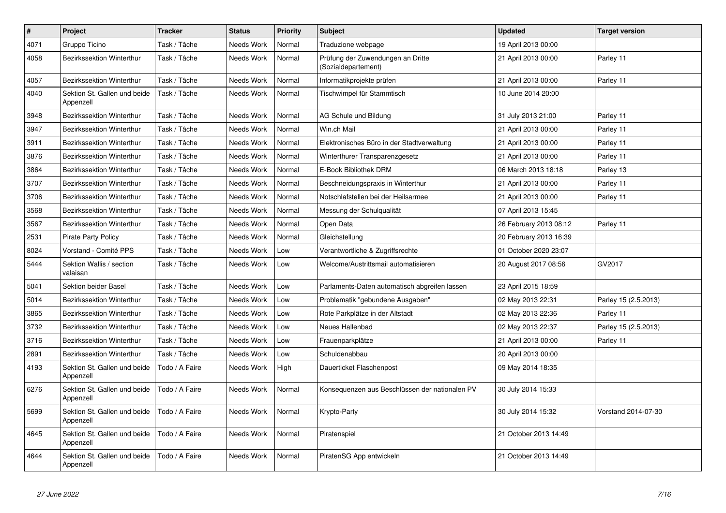| $\sharp$ | Project                                   | <b>Tracker</b> | <b>Status</b> | <b>Priority</b> | <b>Subject</b>                                           | <b>Updated</b>         | <b>Target version</b> |
|----------|-------------------------------------------|----------------|---------------|-----------------|----------------------------------------------------------|------------------------|-----------------------|
| 4071     | Gruppo Ticino                             | Task / Tâche   | Needs Work    | Normal          | Traduzione webpage                                       | 19 April 2013 00:00    |                       |
| 4058     | Bezirkssektion Winterthur                 | Task / Tâche   | Needs Work    | Normal          | Prüfung der Zuwendungen an Dritte<br>(Sozialdepartement) | 21 April 2013 00:00    | Parley 11             |
| 4057     | Bezirkssektion Winterthur                 | Task / Tâche   | Needs Work    | Normal          | Informatikprojekte prüfen                                | 21 April 2013 00:00    | Parley 11             |
| 4040     | Sektion St. Gallen und beide<br>Appenzell | Task / Tâche   | Needs Work    | Normal          | Tischwimpel für Stammtisch                               | 10 June 2014 20:00     |                       |
| 3948     | Bezirkssektion Winterthur                 | Task / Tâche   | Needs Work    | Normal          | AG Schule und Bildung                                    | 31 July 2013 21:00     | Parley 11             |
| 3947     | Bezirkssektion Winterthur                 | Task / Tâche   | Needs Work    | Normal          | Win.ch Mail                                              | 21 April 2013 00:00    | Parley 11             |
| 3911     | Bezirkssektion Winterthur                 | Task / Tâche   | Needs Work    | Normal          | Elektronisches Büro in der Stadtverwaltung               | 21 April 2013 00:00    | Parley 11             |
| 3876     | Bezirkssektion Winterthur                 | Task / Tâche   | Needs Work    | Normal          | Winterthurer Transparenzgesetz                           | 21 April 2013 00:00    | Parley 11             |
| 3864     | Bezirkssektion Winterthur                 | Task / Tâche   | Needs Work    | Normal          | E-Book Bibliothek DRM                                    | 06 March 2013 18:18    | Parley 13             |
| 3707     | Bezirkssektion Winterthur                 | Task / Tâche   | Needs Work    | Normal          | Beschneidungspraxis in Winterthur                        | 21 April 2013 00:00    | Parley 11             |
| 3706     | Bezirkssektion Winterthur                 | Task / Tâche   | Needs Work    | Normal          | Notschlafstellen bei der Heilsarmee                      | 21 April 2013 00:00    | Parley 11             |
| 3568     | Bezirkssektion Winterthur                 | Task / Tâche   | Needs Work    | Normal          | Messung der Schulqualität                                | 07 April 2013 15:45    |                       |
| 3567     | Bezirkssektion Winterthur                 | Task / Tâche   | Needs Work    | Normal          | Open Data                                                | 26 February 2013 08:12 | Parley 11             |
| 2531     | Pirate Party Policy                       | Task / Tâche   | Needs Work    | Normal          | Gleichstellung                                           | 20 February 2013 16:39 |                       |
| 8024     | Vorstand - Comité PPS                     | Task / Tâche   | Needs Work    | Low             | Verantwortliche & Zugriffsrechte                         | 01 October 2020 23:07  |                       |
| 5444     | Sektion Wallis / section<br>valaisan      | Task / Tâche   | Needs Work    | Low             | Welcome/Austrittsmail automatisieren                     | 20 August 2017 08:56   | GV2017                |
| 5041     | Sektion beider Basel                      | Task / Tâche   | Needs Work    | Low             | Parlaments-Daten automatisch abgreifen lassen            | 23 April 2015 18:59    |                       |
| 5014     | Bezirkssektion Winterthur                 | Task / Tâche   | Needs Work    | Low             | Problematik "gebundene Ausgaben"                         | 02 May 2013 22:31      | Parley 15 (2.5.2013)  |
| 3865     | Bezirkssektion Winterthur                 | Task / Tâche   | Needs Work    | Low             | Rote Parkplätze in der Altstadt                          | 02 May 2013 22:36      | Parley 11             |
| 3732     | Bezirkssektion Winterthur                 | Task / Tâche   | Needs Work    | Low             | Neues Hallenbad                                          | 02 May 2013 22:37      | Parley 15 (2.5.2013)  |
| 3716     | Bezirkssektion Winterthur                 | Task / Tâche   | Needs Work    | Low             | Frauenparkplätze                                         | 21 April 2013 00:00    | Parley 11             |
| 2891     | Bezirkssektion Winterthur                 | Task / Tâche   | Needs Work    | Low             | Schuldenabbau                                            | 20 April 2013 00:00    |                       |
| 4193     | Sektion St. Gallen und beide<br>Appenzell | Todo / A Faire | Needs Work    | High            | Dauerticket Flaschenpost                                 | 09 May 2014 18:35      |                       |
| 6276     | Sektion St. Gallen und beide<br>Appenzell | Todo / A Faire | Needs Work    | Normal          | Konsequenzen aus Beschlüssen der nationalen PV           | 30 July 2014 15:33     |                       |
| 5699     | Sektion St. Gallen und beide<br>Appenzell | Todo / A Faire | Needs Work    | Normal          | Krypto-Party                                             | 30 July 2014 15:32     | Vorstand 2014-07-30   |
| 4645     | Sektion St. Gallen und beide<br>Appenzell | Todo / A Faire | Needs Work    | Normal          | Piratenspiel                                             | 21 October 2013 14:49  |                       |
| 4644     | Sektion St. Gallen und beide<br>Appenzell | Todo / A Faire | Needs Work    | Normal          | PiratenSG App entwickeln                                 | 21 October 2013 14:49  |                       |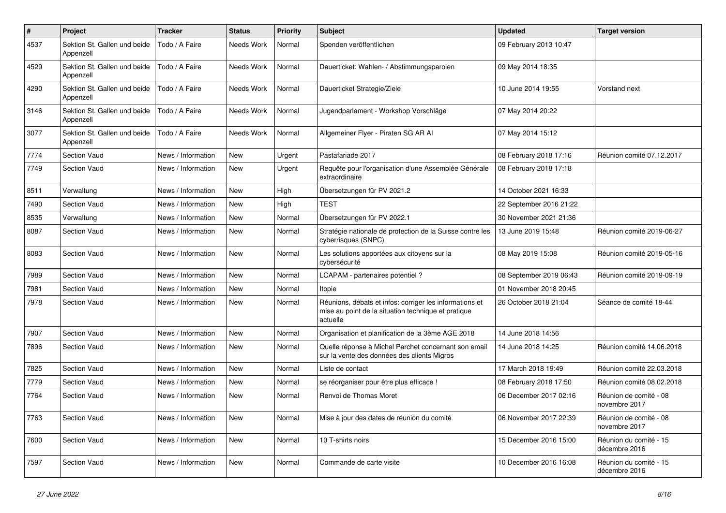| $\#$ | Project                                   | <b>Tracker</b>     | <b>Status</b> | <b>Priority</b> | <b>Subject</b>                                                                                                             | <b>Updated</b>          | <b>Target version</b>                   |
|------|-------------------------------------------|--------------------|---------------|-----------------|----------------------------------------------------------------------------------------------------------------------------|-------------------------|-----------------------------------------|
| 4537 | Sektion St. Gallen und beide<br>Appenzell | Todo / A Faire     | Needs Work    | Normal          | Spenden veröffentlichen                                                                                                    | 09 February 2013 10:47  |                                         |
| 4529 | Sektion St. Gallen und beide<br>Appenzell | Todo / A Faire     | Needs Work    | Normal          | Dauerticket: Wahlen- / Abstimmungsparolen                                                                                  | 09 May 2014 18:35       |                                         |
| 4290 | Sektion St. Gallen und beide<br>Appenzell | Todo / A Faire     | Needs Work    | Normal          | Dauerticket Strategie/Ziele                                                                                                | 10 June 2014 19:55      | Vorstand next                           |
| 3146 | Sektion St. Gallen und beide<br>Appenzell | Todo / A Faire     | Needs Work    | Normal          | Jugendparlament - Workshop Vorschläge                                                                                      | 07 May 2014 20:22       |                                         |
| 3077 | Sektion St. Gallen und beide<br>Appenzell | Todo / A Faire     | Needs Work    | Normal          | Allgemeiner Flyer - Piraten SG AR Al                                                                                       | 07 May 2014 15:12       |                                         |
| 7774 | Section Vaud                              | News / Information | <b>New</b>    | Urgent          | Pastafariade 2017                                                                                                          | 08 February 2018 17:16  | Réunion comité 07.12.2017               |
| 7749 | Section Vaud                              | News / Information | New           | Urgent          | Requête pour l'organisation d'une Assemblée Générale<br>extraordinaire                                                     | 08 February 2018 17:18  |                                         |
| 8511 | Verwaltung                                | News / Information | <b>New</b>    | High            | Übersetzungen für PV 2021.2                                                                                                | 14 October 2021 16:33   |                                         |
| 7490 | Section Vaud                              | News / Information | <b>New</b>    | High            | <b>TEST</b>                                                                                                                | 22 September 2016 21:22 |                                         |
| 8535 | Verwaltung                                | News / Information | New           | Normal          | Übersetzungen für PV 2022.1                                                                                                | 30 November 2021 21:36  |                                         |
| 8087 | Section Vaud                              | News / Information | New           | Normal          | Stratégie nationale de protection de la Suisse contre les<br>cyberrisques (SNPC)                                           | 13 June 2019 15:48      | Réunion comité 2019-06-27               |
| 8083 | Section Vaud                              | News / Information | <b>New</b>    | Normal          | Les solutions apportées aux citoyens sur la<br>cybersécurité                                                               | 08 May 2019 15:08       | Réunion comité 2019-05-16               |
| 7989 | <b>Section Vaud</b>                       | News / Information | <b>New</b>    | Normal          | LCAPAM - partenaires potentiel?                                                                                            | 08 September 2019 06:43 | Réunion comité 2019-09-19               |
| 7981 | Section Vaud                              | News / Information | <b>New</b>    | Normal          | Itopie                                                                                                                     | 01 November 2018 20:45  |                                         |
| 7978 | Section Vaud                              | News / Information | <b>New</b>    | Normal          | Réunions, débats et infos: corriger les informations et<br>mise au point de la situation technique et pratique<br>actuelle | 26 October 2018 21:04   | Séance de comité 18-44                  |
| 7907 | <b>Section Vaud</b>                       | News / Information | <b>New</b>    | Normal          | Organisation et planification de la 3ème AGE 2018                                                                          | 14 June 2018 14:56      |                                         |
| 7896 | Section Vaud                              | News / Information | New           | Normal          | Quelle réponse à Michel Parchet concernant son email<br>sur la vente des données des clients Migros                        | 14 June 2018 14:25      | Réunion comité 14.06.2018               |
| 7825 | Section Vaud                              | News / Information | New           | Normal          | Liste de contact                                                                                                           | 17 March 2018 19:49     | Réunion comité 22.03.2018               |
| 7779 | Section Vaud                              | News / Information | New           | Normal          | se réorganiser pour être plus efficace !                                                                                   | 08 February 2018 17:50  | Réunion comité 08.02.2018               |
| 7764 | Section Vaud                              | News / Information | New           | Normal          | Renvoi de Thomas Moret                                                                                                     | 06 December 2017 02:16  | Réunion de comité - 08<br>novembre 2017 |
| 7763 | Section Vaud                              | News / Information | New           | Normal          | Mise à jour des dates de réunion du comité                                                                                 | 06 November 2017 22:39  | Réunion de comité - 08<br>novembre 2017 |
| 7600 | Section Vaud                              | News / Information | New           | Normal          | 10 T-shirts noirs                                                                                                          | 15 December 2016 15:00  | Réunion du comité - 15<br>décembre 2016 |
| 7597 | Section Vaud                              | News / Information | New           | Normal          | Commande de carte visite                                                                                                   | 10 December 2016 16:08  | Réunion du comité - 15<br>décembre 2016 |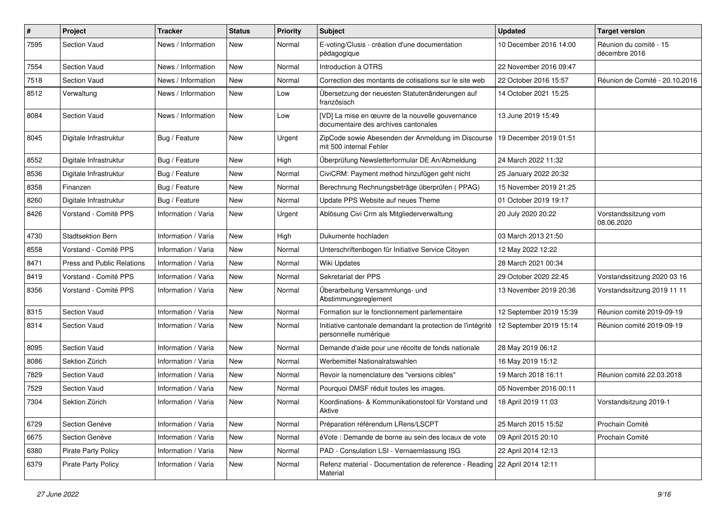| $\#$ | Project                           | <b>Tracker</b>      | <b>Status</b> | <b>Priority</b> | <b>Subject</b>                                                                           | <b>Updated</b>          | <b>Target version</b>                   |
|------|-----------------------------------|---------------------|---------------|-----------------|------------------------------------------------------------------------------------------|-------------------------|-----------------------------------------|
| 7595 | Section Vaud                      | News / Information  | New           | Normal          | E-voting/Clusis - création d'une documentation<br>pédagogique                            | 10 December 2016 14:00  | Réunion du comité - 15<br>décembre 2016 |
| 7554 | Section Vaud                      | News / Information  | <b>New</b>    | Normal          | Introduction à OTRS                                                                      | 22 November 2016 09:47  |                                         |
| 7518 | Section Vaud                      | News / Information  | New           | Normal          | Correction des montants de cotisations sur le site web                                   | 22 October 2016 15:57   | Réunion de Comité - 20.10.2016          |
| 8512 | Verwaltung                        | News / Information  | <b>New</b>    | Low             | Übersetzung der neuesten Statutenänderungen auf<br>französisch                           | 14 October 2021 15:25   |                                         |
| 8084 | Section Vaud                      | News / Information  | <b>New</b>    | Low             | [VD] La mise en œuvre de la nouvelle gouvernance<br>documentaire des archives cantonales | 13 June 2019 15:49      |                                         |
| 8045 | Digitale Infrastruktur            | Bug / Feature       | New           | Urgent          | ZipCode sowie Abesenden der Anmeldung im Discourse<br>mit 500 internal Fehler            | 19 December 2019 01:51  |                                         |
| 8552 | Digitale Infrastruktur            | Bug / Feature       | New           | High            | Überprüfung Newsletterformular DE An/Abmeldung                                           | 24 March 2022 11:32     |                                         |
| 8536 | Digitale Infrastruktur            | Bug / Feature       | New           | Normal          | CiviCRM: Payment method hinzufügen geht nicht                                            | 25 January 2022 20:32   |                                         |
| 8358 | Finanzen                          | Bug / Feature       | New           | Normal          | Berechnung Rechnungsbeträge überprüfen (PPAG)                                            | 15 November 2019 21:25  |                                         |
| 8260 | Digitale Infrastruktur            | Bug / Feature       | <b>New</b>    | Normal          | Update PPS Website auf neues Theme                                                       | 01 October 2019 19:17   |                                         |
| 8426 | Vorstand - Comité PPS             | Information / Varia | <b>New</b>    | Urgent          | Ablösung Civi Crm als Mitgliederverwaltung                                               | 20 July 2020 20:22      | Vorstandssitzung vom<br>08.06.2020      |
| 4730 | <b>Stadtsektion Bern</b>          | Information / Varia | <b>New</b>    | High            | Dukumente hochladen                                                                      | 03 March 2013 21:50     |                                         |
| 8558 | Vorstand - Comité PPS             | Information / Varia | <b>New</b>    | Normal          | Unterschriftenbogen für Initiative Service Citoyen                                       | 12 May 2022 12:22       |                                         |
| 8471 | <b>Press and Public Relations</b> | Information / Varia | New           | Normal          | <b>Wiki Updates</b>                                                                      | 28 March 2021 00:34     |                                         |
| 8419 | Vorstand - Comité PPS             | Information / Varia | <b>New</b>    | Normal          | Sekretariat der PPS                                                                      | 29 October 2020 22:45   | Vorstandssitzung 2020 03 16             |
| 8356 | Vorstand - Comité PPS             | Information / Varia | <b>New</b>    | Normal          | Überarbeitung Versammlungs- und<br>Abstimmungsreglement                                  | 13 November 2019 20:36  | Vorstandssitzung 2019 11 11             |
| 8315 | Section Vaud                      | Information / Varia | <b>New</b>    | Normal          | Formation sur le fonctionnement parlementaire                                            | 12 September 2019 15:39 | Réunion comité 2019-09-19               |
| 8314 | Section Vaud                      | Information / Varia | New           | Normal          | Initiative cantonale demandant la protection de l'intégrité<br>personnelle numérique     | 12 September 2019 15:14 | Réunion comité 2019-09-19               |
| 8095 | Section Vaud                      | Information / Varia | New           | Normal          | Demande d'aide pour une récolte de fonds nationale                                       | 28 May 2019 06:12       |                                         |
| 8086 | Sektion Zürich                    | Information / Varia | New           | Normal          | Werbemittel Nationalratswahlen                                                           | 16 May 2019 15:12       |                                         |
| 7829 | Section Vaud                      | Information / Varia | <b>New</b>    | Normal          | Revoir la nomenclature des "versions cibles"                                             | 19 March 2018 16:11     | Réunion comité 22.03.2018               |
| 7529 | Section Vaud                      | Information / Varia | <b>New</b>    | Normal          | Pourquoi DMSF réduit toutes les images.                                                  | 05 November 2016 00:11  |                                         |
| 7304 | Sektion Zürich                    | Information / Varia | New           | Normal          | Koordinations- & Kommunikationstool für Vorstand und<br>Aktive                           | 18 April 2019 11:03     | Vorstandsitzung 2019-1                  |
| 6729 | Section Genève                    | Information / Varia | New           | Normal          | Préparation référendum LRens/LSCPT                                                       | 25 March 2015 15:52     | Prochain Comité                         |
| 6675 | Section Genève                    | Information / Varia | New           | Normal          | éVote : Demande de borne au sein des locaux de vote                                      | 09 April 2015 20:10     | Prochain Comité                         |
| 6380 | <b>Pirate Party Policy</b>        | Information / Varia | New           | Normal          | PAD - Consulation LSI - Vernaemlassung ISG                                               | 22 April 2014 12:13     |                                         |
| 6379 | <b>Pirate Party Policy</b>        | Information / Varia | New           | Normal          | Refenz material - Documentation de reference - Reading<br>Material                       | 22 April 2014 12:11     |                                         |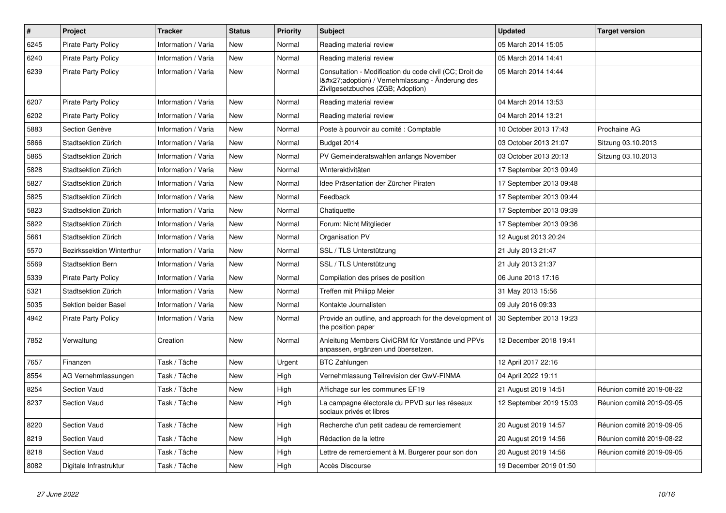| $\pmb{\#}$ | Project                          | <b>Tracker</b>      | <b>Status</b> | <b>Priority</b> | <b>Subject</b>                                                                                                                              | <b>Updated</b>          | <b>Target version</b>     |
|------------|----------------------------------|---------------------|---------------|-----------------|---------------------------------------------------------------------------------------------------------------------------------------------|-------------------------|---------------------------|
| 6245       | <b>Pirate Party Policy</b>       | Information / Varia | <b>New</b>    | Normal          | Reading material review                                                                                                                     | 05 March 2014 15:05     |                           |
| 6240       | <b>Pirate Party Policy</b>       | Information / Varia | <b>New</b>    | Normal          | Reading material review                                                                                                                     | 05 March 2014 14:41     |                           |
| 6239       | <b>Pirate Party Policy</b>       | Information / Varia | New           | Normal          | Consultation - Modification du code civil (CC; Droit de<br>I'adoption) / Vernehmlassung - Änderung des<br>Zivilgesetzbuches (ZGB; Adoption) | 05 March 2014 14:44     |                           |
| 6207       | <b>Pirate Party Policy</b>       | Information / Varia | <b>New</b>    | Normal          | Reading material review                                                                                                                     | 04 March 2014 13:53     |                           |
| 6202       | <b>Pirate Party Policy</b>       | Information / Varia | <b>New</b>    | Normal          | Reading material review                                                                                                                     | 04 March 2014 13:21     |                           |
| 5883       | Section Genève                   | Information / Varia | <b>New</b>    | Normal          | Poste à pourvoir au comité : Comptable                                                                                                      | 10 October 2013 17:43   | Prochaine AG              |
| 5866       | Stadtsektion Zürich              | Information / Varia | <b>New</b>    | Normal          | Budget 2014                                                                                                                                 | 03 October 2013 21:07   | Sitzung 03.10.2013        |
| 5865       | Stadtsektion Zürich              | Information / Varia | <b>New</b>    | Normal          | PV Gemeinderatswahlen anfangs November                                                                                                      | 03 October 2013 20:13   | Sitzung 03.10.2013        |
| 5828       | Stadtsektion Zürich              | Information / Varia | <b>New</b>    | Normal          | Winteraktivitäten                                                                                                                           | 17 September 2013 09:49 |                           |
| 5827       | Stadtsektion Zürich              | Information / Varia | <b>New</b>    | Normal          | Idee Präsentation der Zürcher Piraten                                                                                                       | 17 September 2013 09:48 |                           |
| 5825       | Stadtsektion Zürich              | Information / Varia | <b>New</b>    | Normal          | Feedback                                                                                                                                    | 17 September 2013 09:44 |                           |
| 5823       | Stadtsektion Zürich              | Information / Varia | New           | Normal          | Chatiquette                                                                                                                                 | 17 September 2013 09:39 |                           |
| 5822       | Stadtsektion Zürich              | Information / Varia | <b>New</b>    | Normal          | Forum: Nicht Mitglieder                                                                                                                     | 17 September 2013 09:36 |                           |
| 5661       | Stadtsektion Zürich              | Information / Varia | <b>New</b>    | Normal          | Organisation PV                                                                                                                             | 12 August 2013 20:24    |                           |
| 5570       | <b>Bezirkssektion Winterthur</b> | Information / Varia | <b>New</b>    | Normal          | SSL / TLS Unterstützung                                                                                                                     | 21 July 2013 21:47      |                           |
| 5569       | Stadtsektion Bern                | Information / Varia | <b>New</b>    | Normal          | SSL / TLS Unterstützung                                                                                                                     | 21 July 2013 21:37      |                           |
| 5339       | <b>Pirate Party Policy</b>       | Information / Varia | New           | Normal          | Compilation des prises de position                                                                                                          | 06 June 2013 17:16      |                           |
| 5321       | Stadtsektion Zürich              | Information / Varia | <b>New</b>    | Normal          | Treffen mit Philipp Meier                                                                                                                   | 31 May 2013 15:56       |                           |
| 5035       | Sektion beider Basel             | Information / Varia | New           | Normal          | Kontakte Journalisten                                                                                                                       | 09 July 2016 09:33      |                           |
| 4942       | <b>Pirate Party Policy</b>       | Information / Varia | New           | Normal          | Provide an outline, and approach for the development of<br>the position paper                                                               | 30 September 2013 19:23 |                           |
| 7852       | Verwaltung                       | Creation            | <b>New</b>    | Normal          | Anleitung Members CiviCRM für Vorstände und PPVs<br>anpassen, ergänzen und übersetzen.                                                      | 12 December 2018 19:41  |                           |
| 7657       | Finanzen                         | Task / Tâche        | <b>New</b>    | Urgent          | <b>BTC Zahlungen</b>                                                                                                                        | 12 April 2017 22:16     |                           |
| 8554       | AG Vernehmlassungen              | Task / Tâche        | <b>New</b>    | High            | Vernehmlassung Teilrevision der GwV-FINMA                                                                                                   | 04 April 2022 19:11     |                           |
| 8254       | <b>Section Vaud</b>              | Task / Tâche        | <b>New</b>    | High            | Affichage sur les communes EF19                                                                                                             | 21 August 2019 14:51    | Réunion comité 2019-08-22 |
| 8237       | <b>Section Vaud</b>              | Task / Tâche        | <b>New</b>    | High            | La campagne électorale du PPVD sur les réseaux<br>sociaux privés et libres                                                                  | 12 September 2019 15:03 | Réunion comité 2019-09-05 |
| 8220       | <b>Section Vaud</b>              | Task / Tâche        | <b>New</b>    | High            | Recherche d'un petit cadeau de remerciement                                                                                                 | 20 August 2019 14:57    | Réunion comité 2019-09-05 |
| 8219       | <b>Section Vaud</b>              | Task / Tâche        | <b>New</b>    | High            | Rédaction de la lettre                                                                                                                      | 20 August 2019 14:56    | Réunion comité 2019-08-22 |
| 8218       | <b>Section Vaud</b>              | Task / Tâche        | <b>New</b>    | High            | Lettre de remerciement à M. Burgerer pour son don                                                                                           | 20 August 2019 14:56    | Réunion comité 2019-09-05 |
| 8082       | Digitale Infrastruktur           | Task / Tâche        | <b>New</b>    | High            | Accès Discourse                                                                                                                             | 19 December 2019 01:50  |                           |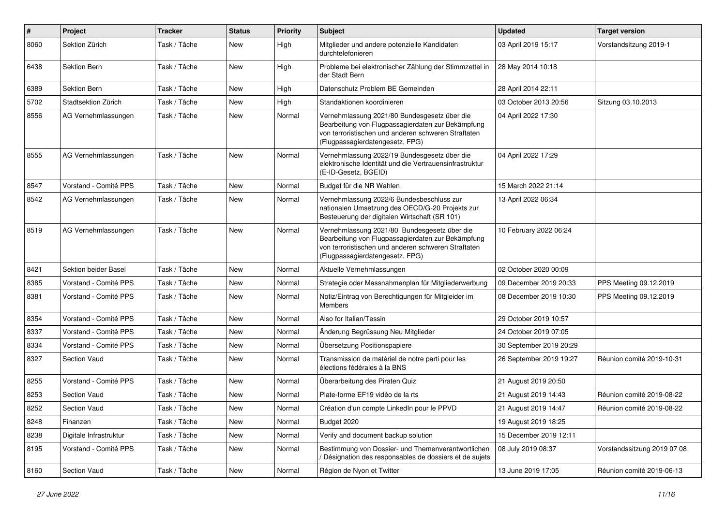| $\pmb{\#}$ | Project                | <b>Tracker</b> | <b>Status</b> | <b>Priority</b> | <b>Subject</b>                                                                                                                                                                              | <b>Updated</b>          | <b>Target version</b>       |
|------------|------------------------|----------------|---------------|-----------------|---------------------------------------------------------------------------------------------------------------------------------------------------------------------------------------------|-------------------------|-----------------------------|
| 8060       | Sektion Zürich         | Task / Tâche   | New           | High            | Mitglieder und andere potenzielle Kandidaten<br>durchtelefonieren                                                                                                                           | 03 April 2019 15:17     | Vorstandsitzung 2019-1      |
| 6438       | Sektion Bern           | Task / Tâche   | New           | High            | Probleme bei elektronischer Zählung der Stimmzettel in<br>der Stadt Bern                                                                                                                    | 28 May 2014 10:18       |                             |
| 6389       | Sektion Bern           | Task / Tâche   | New           | High            | Datenschutz Problem BE Gemeinden                                                                                                                                                            | 28 April 2014 22:11     |                             |
| 5702       | Stadtsektion Zürich    | Task / Tâche   | New           | High            | Standaktionen koordinieren                                                                                                                                                                  | 03 October 2013 20:56   | Sitzung 03.10.2013          |
| 8556       | AG Vernehmlassungen    | Task / Tâche   | <b>New</b>    | Normal          | Vernehmlassung 2021/80 Bundesgesetz über die<br>Bearbeitung von Flugpassagierdaten zur Bekämpfung<br>von terroristischen und anderen schweren Straftaten<br>(Flugpassagierdatengesetz, FPG) | 04 April 2022 17:30     |                             |
| 8555       | AG Vernehmlassungen    | Task / Tâche   | New           | Normal          | Vernehmlassung 2022/19 Bundesgesetz über die<br>elektronische Identität und die Vertrauensinfrastruktur<br>(E-ID-Gesetz, BGEID)                                                             | 04 April 2022 17:29     |                             |
| 8547       | Vorstand - Comité PPS  | Task / Tâche   | New           | Normal          | Budget für die NR Wahlen                                                                                                                                                                    | 15 March 2022 21:14     |                             |
| 8542       | AG Vernehmlassungen    | Task / Tâche   | New           | Normal          | Vernehmlassung 2022/6 Bundesbeschluss zur<br>nationalen Umsetzung des OECD/G-20 Projekts zur<br>Besteuerung der digitalen Wirtschaft (SR 101)                                               | 13 April 2022 06:34     |                             |
| 8519       | AG Vernehmlassungen    | Task / Tâche   | New           | Normal          | Vernehmlassung 2021/80 Bundesgesetz über die<br>Bearbeitung von Flugpassagierdaten zur Bekämpfung<br>von terroristischen und anderen schweren Straftaten<br>(Flugpassagierdatengesetz, FPG) | 10 February 2022 06:24  |                             |
| 8421       | Sektion beider Basel   | Task / Tâche   | New           | Normal          | Aktuelle Vernehmlassungen                                                                                                                                                                   | 02 October 2020 00:09   |                             |
| 8385       | Vorstand - Comité PPS  | Task / Tâche   | <b>New</b>    | Normal          | Strategie oder Massnahmenplan für Mitgliederwerbung                                                                                                                                         | 09 December 2019 20:33  | PPS Meeting 09.12.2019      |
| 8381       | Vorstand - Comité PPS  | Task / Tâche   | New           | Normal          | Notiz/Eintrag von Berechtigungen für Mitgleider im<br><b>Members</b>                                                                                                                        | 08 December 2019 10:30  | PPS Meeting 09.12.2019      |
| 8354       | Vorstand - Comité PPS  | Task / Tâche   | New           | Normal          | Also for Italian/Tessin                                                                                                                                                                     | 29 October 2019 10:57   |                             |
| 8337       | Vorstand - Comité PPS  | Task / Tâche   | <b>New</b>    | Normal          | Änderung Begrüssung Neu Mitglieder                                                                                                                                                          | 24 October 2019 07:05   |                             |
| 8334       | Vorstand - Comité PPS  | Task / Tâche   | New           | Normal          | Übersetzung Positionspapiere                                                                                                                                                                | 30 September 2019 20:29 |                             |
| 8327       | <b>Section Vaud</b>    | Task / Tâche   | New           | Normal          | Transmission de matériel de notre parti pour les<br>élections fédérales à la BNS                                                                                                            | 26 September 2019 19:27 | Réunion comité 2019-10-31   |
| 8255       | Vorstand - Comité PPS  | Task / Tâche   | New           | Normal          | Überarbeitung des Piraten Quiz                                                                                                                                                              | 21 August 2019 20:50    |                             |
| 8253       | <b>Section Vaud</b>    | Task / Tâche   | New           | Normal          | Plate-forme EF19 vidéo de la rts                                                                                                                                                            | 21 August 2019 14:43    | Réunion comité 2019-08-22   |
| 8252       | Section Vaud           | Task / Tâche   | New           | Normal          | Création d'un compte LinkedIn pour le PPVD                                                                                                                                                  | 21 August 2019 14:47    | Réunion comité 2019-08-22   |
| 8248       | Finanzen               | Task / Tâche   | New           | Normal          | Budget 2020                                                                                                                                                                                 | 19 August 2019 18:25    |                             |
| 8238       | Digitale Infrastruktur | Task / Tâche   | New           | Normal          | Verify and document backup solution                                                                                                                                                         | 15 December 2019 12:11  |                             |
| 8195       | Vorstand - Comité PPS  | Task / Tâche   | New           | Normal          | Bestimmung von Dossier- und Themenverantwortlichen<br>Désignation des responsables de dossiers et de sujets                                                                                 | 08 July 2019 08:37      | Vorstandssitzung 2019 07 08 |
| 8160       | Section Vaud           | Task / Tâche   | New           | Normal          | Région de Nyon et Twitter                                                                                                                                                                   | 13 June 2019 17:05      | Réunion comité 2019-06-13   |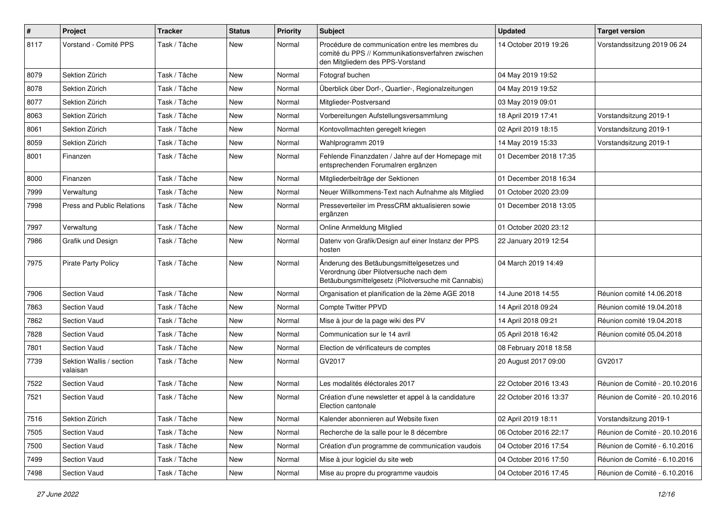| $\#$ | Project                              | <b>Tracker</b> | <b>Status</b> | <b>Priority</b> | Subject                                                                                                                                    | <b>Updated</b>         | <b>Target version</b>          |
|------|--------------------------------------|----------------|---------------|-----------------|--------------------------------------------------------------------------------------------------------------------------------------------|------------------------|--------------------------------|
| 8117 | Vorstand - Comité PPS                | Task / Tâche   | <b>New</b>    | Normal          | Procédure de communication entre les membres du<br>comité du PPS // Kommunikationsverfahren zwischen<br>den Mitgliedern des PPS-Vorstand   | 14 October 2019 19:26  | Vorstandssitzung 2019 06 24    |
| 8079 | Sektion Zürich                       | Task / Tâche   | <b>New</b>    | Normal          | Fotograf buchen                                                                                                                            | 04 May 2019 19:52      |                                |
| 8078 | Sektion Zürich                       | Task / Tâche   | New           | Normal          | Überblick über Dorf-, Quartier-, Regionalzeitungen                                                                                         | 04 May 2019 19:52      |                                |
| 8077 | Sektion Zürich                       | Task / Tâche   | New           | Normal          | Mitglieder-Postversand                                                                                                                     | 03 May 2019 09:01      |                                |
| 8063 | Sektion Zürich                       | Task / Tâche   | <b>New</b>    | Normal          | Vorbereitungen Aufstellungsversammlung                                                                                                     | 18 April 2019 17:41    | Vorstandsitzung 2019-1         |
| 8061 | Sektion Zürich                       | Task / Tâche   | New           | Normal          | Kontovollmachten geregelt kriegen                                                                                                          | 02 April 2019 18:15    | Vorstandsitzung 2019-1         |
| 8059 | Sektion Zürich                       | Task / Tâche   | <b>New</b>    | Normal          | Wahlprogramm 2019                                                                                                                          | 14 May 2019 15:33      | Vorstandsitzung 2019-1         |
| 8001 | Finanzen                             | Task / Tâche   | <b>New</b>    | Normal          | Fehlende Finanzdaten / Jahre auf der Homepage mit<br>entsprechenden Forumalren ergänzen                                                    | 01 December 2018 17:35 |                                |
| 8000 | Finanzen                             | Task / Tâche   | New           | Normal          | Mitgliederbeiträge der Sektionen                                                                                                           | 01 December 2018 16:34 |                                |
| 7999 | Verwaltung                           | Task / Tâche   | <b>New</b>    | Normal          | Neuer Willkommens-Text nach Aufnahme als Mitglied                                                                                          | 01 October 2020 23:09  |                                |
| 7998 | Press and Public Relations           | Task / Tâche   | <b>New</b>    | Normal          | Presseverteiler im PressCRM aktualisieren sowie<br>ergänzen                                                                                | 01 December 2018 13:05 |                                |
| 7997 | Verwaltung                           | Task / Tâche   | New           | Normal          | Online Anmeldung Mitglied                                                                                                                  | 01 October 2020 23:12  |                                |
| 7986 | Grafik und Design                    | Task / Tâche   | <b>New</b>    | Normal          | Datenv von Grafik/Design auf einer Instanz der PPS<br>hosten                                                                               | 22 January 2019 12:54  |                                |
| 7975 | <b>Pirate Party Policy</b>           | Task / Tâche   | New           | Normal          | Änderung des Betäubungsmittelgesetzes und<br>Verordnung über Pilotversuche nach dem<br>Betäubungsmittelgesetz (Pilotversuche mit Cannabis) | 04 March 2019 14:49    |                                |
| 7906 | <b>Section Vaud</b>                  | Task / Tâche   | <b>New</b>    | Normal          | Organisation et planification de la 2ème AGE 2018                                                                                          | 14 June 2018 14:55     | Réunion comité 14.06.2018      |
| 7863 | <b>Section Vaud</b>                  | Task / Tâche   | <b>New</b>    | Normal          | Compte Twitter PPVD                                                                                                                        | 14 April 2018 09:24    | Réunion comité 19.04.2018      |
| 7862 | Section Vaud                         | Task / Tâche   | New           | Normal          | Mise à jour de la page wiki des PV                                                                                                         | 14 April 2018 09:21    | Réunion comité 19.04.2018      |
| 7828 | <b>Section Vaud</b>                  | Task / Tâche   | <b>New</b>    | Normal          | Communication sur le 14 avril                                                                                                              | 05 April 2018 16:42    | Réunion comité 05.04.2018      |
| 7801 | <b>Section Vaud</b>                  | Task / Tâche   | <b>New</b>    | Normal          | Election de vérificateurs de comptes                                                                                                       | 08 February 2018 18:58 |                                |
| 7739 | Sektion Wallis / section<br>valaisan | Task / Tâche   | New           | Normal          | GV2017                                                                                                                                     | 20 August 2017 09:00   | GV2017                         |
| 7522 | <b>Section Vaud</b>                  | Task / Tâche   | <b>New</b>    | Normal          | Les modalités éléctorales 2017                                                                                                             | 22 October 2016 13:43  | Réunion de Comité - 20.10.2016 |
| 7521 | <b>Section Vaud</b>                  | Task / Tâche   | New           | Normal          | Création d'une newsletter et appel à la candidature<br>Election cantonale                                                                  | 22 October 2016 13:37  | Réunion de Comité - 20.10.2016 |
| 7516 | Sektion Zürich                       | Task / Tâche   | New           | Normal          | Kalender abonnieren auf Website fixen                                                                                                      | 02 April 2019 18:11    | Vorstandsitzung 2019-1         |
| 7505 | Section Vaud                         | Task / Tâche   | New           | Normal          | Recherche de la salle pour le 8 décembre                                                                                                   | 06 October 2016 22:17  | Réunion de Comité - 20.10.2016 |
| 7500 | Section Vaud                         | Task / Tâche   | New           | Normal          | Création d'un programme de communication vaudois                                                                                           | 04 October 2016 17:54  | Réunion de Comité - 6.10.2016  |
| 7499 | Section Vaud                         | Task / Tâche   | New           | Normal          | Mise à jour logiciel du site web                                                                                                           | 04 October 2016 17:50  | Réunion de Comité - 6.10.2016  |
| 7498 | Section Vaud                         | Task / Tâche   | New           | Normal          | Mise au propre du programme vaudois                                                                                                        | 04 October 2016 17:45  | Réunion de Comité - 6.10.2016  |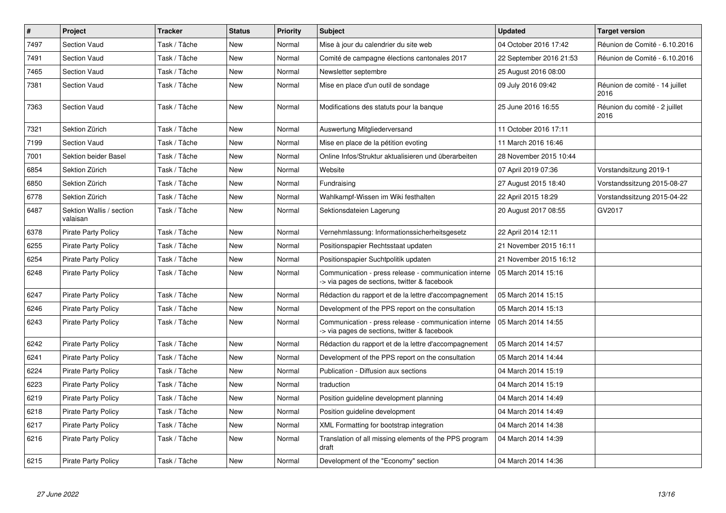| $\vert$ # | Project                              | <b>Tracker</b> | <b>Status</b> | Priority | <b>Subject</b>                                                                                        | <b>Updated</b>          | <b>Target version</b>                  |
|-----------|--------------------------------------|----------------|---------------|----------|-------------------------------------------------------------------------------------------------------|-------------------------|----------------------------------------|
| 7497      | Section Vaud                         | Task / Tâche   | New           | Normal   | Mise à jour du calendrier du site web                                                                 | 04 October 2016 17:42   | Réunion de Comité - 6.10.2016          |
| 7491      | <b>Section Vaud</b>                  | Task / Tâche   | <b>New</b>    | Normal   | Comité de campagne élections cantonales 2017                                                          | 22 September 2016 21:53 | Réunion de Comité - 6.10.2016          |
| 7465      | <b>Section Vaud</b>                  | Task / Tâche   | New           | Normal   | Newsletter septembre                                                                                  | 25 August 2016 08:00    |                                        |
| 7381      | <b>Section Vaud</b>                  | Task / Tâche   | <b>New</b>    | Normal   | Mise en place d'un outil de sondage                                                                   | 09 July 2016 09:42      | Réunion de comité - 14 juillet<br>2016 |
| 7363      | <b>Section Vaud</b>                  | Task / Tâche   | <b>New</b>    | Normal   | Modifications des statuts pour la banque                                                              | 25 June 2016 16:55      | Réunion du comité - 2 juillet<br>2016  |
| 7321      | Sektion Zürich                       | Task / Tâche   | New           | Normal   | Auswertung Mitgliederversand                                                                          | 11 October 2016 17:11   |                                        |
| 7199      | <b>Section Vaud</b>                  | Task / Tâche   | New           | Normal   | Mise en place de la pétition evoting                                                                  | 11 March 2016 16:46     |                                        |
| 7001      | Sektion beider Basel                 | Task / Tâche   | New           | Normal   | Online Infos/Struktur aktualisieren und überarbeiten                                                  | 28 November 2015 10:44  |                                        |
| 6854      | Sektion Zürich                       | Task / Tâche   | <b>New</b>    | Normal   | Website                                                                                               | 07 April 2019 07:36     | Vorstandsitzung 2019-1                 |
| 6850      | Sektion Zürich                       | Task / Tâche   | New           | Normal   | Fundraising                                                                                           | 27 August 2015 18:40    | Vorstandssitzung 2015-08-27            |
| 6778      | Sektion Zürich                       | Task / Tâche   | New           | Normal   | Wahlkampf-Wissen im Wiki festhalten                                                                   | 22 April 2015 18:29     | Vorstandssitzung 2015-04-22            |
| 6487      | Sektion Wallis / section<br>valaisan | Task / Tâche   | New           | Normal   | Sektionsdateien Lagerung                                                                              | 20 August 2017 08:55    | GV2017                                 |
| 6378      | <b>Pirate Party Policy</b>           | Task / Tâche   | New           | Normal   | Vernehmlassung: Informationssicherheitsgesetz                                                         | 22 April 2014 12:11     |                                        |
| 6255      | <b>Pirate Party Policy</b>           | Task / Tâche   | New           | Normal   | Positionspapier Rechtsstaat updaten                                                                   | 21 November 2015 16:11  |                                        |
| 6254      | <b>Pirate Party Policy</b>           | Task / Tâche   | <b>New</b>    | Normal   | Positionspapier Suchtpolitik updaten                                                                  | 21 November 2015 16:12  |                                        |
| 6248      | <b>Pirate Party Policy</b>           | Task / Tâche   | New           | Normal   | Communication - press release - communication interne<br>-> via pages de sections, twitter & facebook | 05 March 2014 15:16     |                                        |
| 6247      | <b>Pirate Party Policy</b>           | Task / Tâche   | New           | Normal   | Rédaction du rapport et de la lettre d'accompagnement                                                 | 05 March 2014 15:15     |                                        |
| 6246      | <b>Pirate Party Policy</b>           | Task / Tâche   | New           | Normal   | Development of the PPS report on the consultation                                                     | 05 March 2014 15:13     |                                        |
| 6243      | <b>Pirate Party Policy</b>           | Task / Tâche   | <b>New</b>    | Normal   | Communication - press release - communication interne<br>-> via pages de sections, twitter & facebook | 05 March 2014 14:55     |                                        |
| 6242      | <b>Pirate Party Policy</b>           | Task / Tâche   | New           | Normal   | Rédaction du rapport et de la lettre d'accompagnement                                                 | 05 March 2014 14:57     |                                        |
| 6241      | <b>Pirate Party Policy</b>           | Task / Tâche   | New           | Normal   | Development of the PPS report on the consultation                                                     | 05 March 2014 14:44     |                                        |
| 6224      | <b>Pirate Party Policy</b>           | Task / Tâche   | <b>New</b>    | Normal   | Publication - Diffusion aux sections                                                                  | 04 March 2014 15:19     |                                        |
| 6223      | <b>Pirate Party Policy</b>           | Task / Tâche   | <b>New</b>    | Normal   | traduction                                                                                            | 04 March 2014 15:19     |                                        |
| 6219      | Pirate Party Policy                  | Task / Tâche   | New           | Normal   | Position guideline development planning                                                               | 04 March 2014 14:49     |                                        |
| 6218      | <b>Pirate Party Policy</b>           | Task / Tâche   | New           | Normal   | Position guideline development                                                                        | 04 March 2014 14:49     |                                        |
| 6217      | <b>Pirate Party Policy</b>           | Task / Tâche   | <b>New</b>    | Normal   | XML Formatting for bootstrap integration                                                              | 04 March 2014 14:38     |                                        |
| 6216      | <b>Pirate Party Policy</b>           | Task / Tâche   | <b>New</b>    | Normal   | Translation of all missing elements of the PPS program<br>draft                                       | 04 March 2014 14:39     |                                        |
| 6215      | <b>Pirate Party Policy</b>           | Task / Tâche   | New           | Normal   | Development of the "Economy" section                                                                  | 04 March 2014 14:36     |                                        |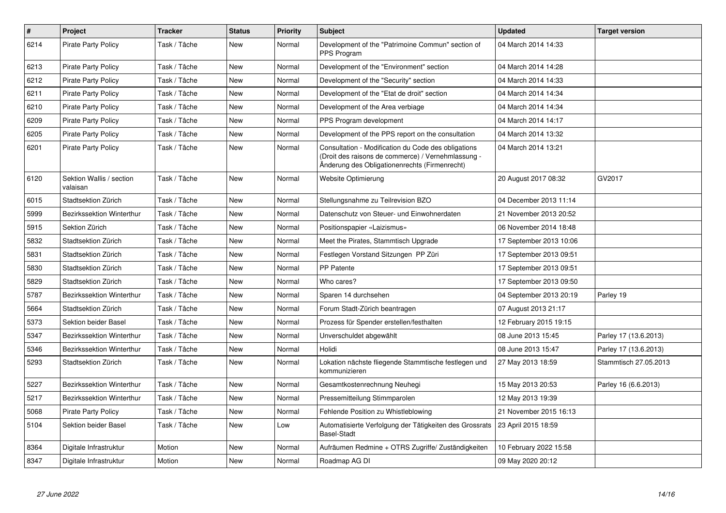| $\pmb{\#}$ | <b>Project</b>                       | <b>Tracker</b> | <b>Status</b> | <b>Priority</b> | <b>Subject</b>                                                                                                                                             | <b>Updated</b>          | <b>Target version</b> |
|------------|--------------------------------------|----------------|---------------|-----------------|------------------------------------------------------------------------------------------------------------------------------------------------------------|-------------------------|-----------------------|
| 6214       | Pirate Party Policy                  | Task / Tâche   | <b>New</b>    | Normal          | Development of the "Patrimoine Commun" section of<br>PPS Program                                                                                           | 04 March 2014 14:33     |                       |
| 6213       | <b>Pirate Party Policy</b>           | Task / Tâche   | New           | Normal          | Development of the "Environment" section                                                                                                                   | 04 March 2014 14:28     |                       |
| 6212       | <b>Pirate Party Policy</b>           | Task / Tâche   | New           | Normal          | Development of the "Security" section                                                                                                                      | 04 March 2014 14:33     |                       |
| 6211       | <b>Pirate Party Policy</b>           | Task / Tâche   | <b>New</b>    | Normal          | Development of the "Etat de droit" section                                                                                                                 | 04 March 2014 14:34     |                       |
| 6210       | <b>Pirate Party Policy</b>           | Task / Tâche   | New           | Normal          | Development of the Area verbiage                                                                                                                           | 04 March 2014 14:34     |                       |
| 6209       | <b>Pirate Party Policy</b>           | Task / Tâche   | <b>New</b>    | Normal          | PPS Program development                                                                                                                                    | 04 March 2014 14:17     |                       |
| 6205       | <b>Pirate Party Policy</b>           | Task / Tâche   | <b>New</b>    | Normal          | Development of the PPS report on the consultation                                                                                                          | 04 March 2014 13:32     |                       |
| 6201       | <b>Pirate Party Policy</b>           | Task / Tâche   | <b>New</b>    | Normal          | Consultation - Modification du Code des obligations<br>(Droit des raisons de commerce) / Vernehmlassung -<br>Änderung des Obligationenrechts (Firmenrecht) | 04 March 2014 13:21     |                       |
| 6120       | Sektion Wallis / section<br>valaisan | Task / Tâche   | New           | Normal          | Website Optimierung                                                                                                                                        | 20 August 2017 08:32    | GV2017                |
| 6015       | Stadtsektion Zürich                  | Task / Tâche   | New           | Normal          | Stellungsnahme zu Teilrevision BZO                                                                                                                         | 04 December 2013 11:14  |                       |
| 5999       | <b>Bezirkssektion Winterthur</b>     | Task / Tâche   | <b>New</b>    | Normal          | Datenschutz von Steuer- und Einwohnerdaten                                                                                                                 | 21 November 2013 20:52  |                       |
| 5915       | Sektion Zürich                       | Task / Tâche   | New           | Normal          | Positionspapier «Laizismus»                                                                                                                                | 06 November 2014 18:48  |                       |
| 5832       | Stadtsektion Zürich                  | Task / Tâche   | <b>New</b>    | Normal          | Meet the Pirates, Stammtisch Upgrade                                                                                                                       | 17 September 2013 10:06 |                       |
| 5831       | Stadtsektion Zürich                  | Task / Tâche   | New           | Normal          | Festlegen Vorstand Sitzungen PP Züri                                                                                                                       | 17 September 2013 09:51 |                       |
| 5830       | Stadtsektion Zürich                  | Task / Tâche   | New           | Normal          | <b>PP Patente</b>                                                                                                                                          | 17 September 2013 09:51 |                       |
| 5829       | Stadtsektion Zürich                  | Task / Tâche   | New           | Normal          | Who cares?                                                                                                                                                 | 17 September 2013 09:50 |                       |
| 5787       | Bezirkssektion Winterthur            | Task / Tâche   | <b>New</b>    | Normal          | Sparen 14 durchsehen                                                                                                                                       | 04 September 2013 20:19 | Parley 19             |
| 5664       | Stadtsektion Zürich                  | Task / Tâche   | <b>New</b>    | Normal          | Forum Stadt-Zürich beantragen                                                                                                                              | 07 August 2013 21:17    |                       |
| 5373       | Sektion beider Basel                 | Task / Tâche   | New           | Normal          | Prozess für Spender erstellen/festhalten                                                                                                                   | 12 February 2015 19:15  |                       |
| 5347       | Bezirkssektion Winterthur            | Task / Tâche   | New           | Normal          | Unverschuldet abgewählt                                                                                                                                    | 08 June 2013 15:45      | Parley 17 (13.6.2013) |
| 5346       | Bezirkssektion Winterthur            | Task / Tâche   | New           | Normal          | Holidi                                                                                                                                                     | 08 June 2013 15:47      | Parley 17 (13.6.2013) |
| 5293       | Stadtsektion Zürich                  | Task / Tâche   | New           | Normal          | Lokation nächste fliegende Stammtische festlegen und<br>kommunizieren                                                                                      | 27 May 2013 18:59       | Stammtisch 27.05.2013 |
| 5227       | Bezirkssektion Winterthur            | Task / Tâche   | New           | Normal          | Gesamtkostenrechnung Neuhegi                                                                                                                               | 15 May 2013 20:53       | Parley 16 (6.6.2013)  |
| 5217       | Bezirkssektion Winterthur            | Task / Tâche   | New           | Normal          | Pressemitteilung Stimmparolen                                                                                                                              | 12 May 2013 19:39       |                       |
| 5068       | <b>Pirate Party Policy</b>           | Task / Tâche   | New           | Normal          | Fehlende Position zu Whistleblowing                                                                                                                        | 21 November 2015 16:13  |                       |
| 5104       | Sektion beider Basel                 | Task / Tâche   | New           | Low             | Automatisierte Verfolgung der Tätigkeiten des Grossrats<br><b>Basel-Stadt</b>                                                                              | 23 April 2015 18:59     |                       |
| 8364       | Digitale Infrastruktur               | Motion         | New           | Normal          | Aufräumen Redmine + OTRS Zugriffe/Zuständigkeiten                                                                                                          | 10 February 2022 15:58  |                       |
| 8347       | Digitale Infrastruktur               | Motion         | <b>New</b>    | Normal          | Roadmap AG DI                                                                                                                                              | 09 May 2020 20:12       |                       |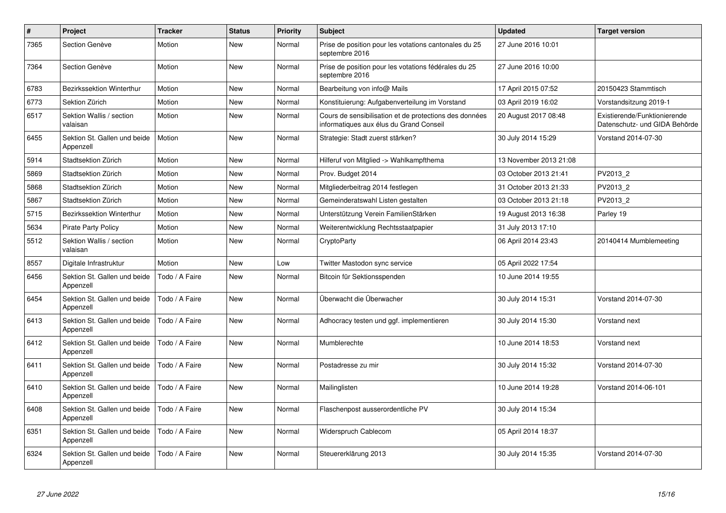| $\pmb{\#}$ | Project                                   | <b>Tracker</b> | <b>Status</b> | <b>Priority</b> | <b>Subject</b>                                                                                    | <b>Updated</b>         | <b>Target version</b>                                         |
|------------|-------------------------------------------|----------------|---------------|-----------------|---------------------------------------------------------------------------------------------------|------------------------|---------------------------------------------------------------|
| 7365       | Section Genève                            | Motion         | <b>New</b>    | Normal          | Prise de position pour les votations cantonales du 25<br>septembre 2016                           | 27 June 2016 10:01     |                                                               |
| 7364       | Section Genève                            | Motion         | New           | Normal          | Prise de position pour les votations fédérales du 25<br>septembre 2016                            | 27 June 2016 10:00     |                                                               |
| 6783       | <b>Bezirkssektion Winterthur</b>          | Motion         | <b>New</b>    | Normal          | Bearbeitung von info@ Mails                                                                       | 17 April 2015 07:52    | 20150423 Stammtisch                                           |
| 6773       | Sektion Zürich                            | Motion         | New           | Normal          | Konstituierung: Aufgabenverteilung im Vorstand                                                    | 03 April 2019 16:02    | Vorstandsitzung 2019-1                                        |
| 6517       | Sektion Wallis / section<br>valaisan      | Motion         | <b>New</b>    | Normal          | Cours de sensibilisation et de protections des données<br>informatiques aux élus du Grand Conseil | 20 August 2017 08:48   | Existierende/Funktionierende<br>Datenschutz- und GIDA Behörde |
| 6455       | Sektion St. Gallen und beide<br>Appenzell | Motion         | New           | Normal          | Strategie: Stadt zuerst stärken?                                                                  | 30 July 2014 15:29     | Vorstand 2014-07-30                                           |
| 5914       | Stadtsektion Zürich                       | Motion         | New           | Normal          | Hilferuf von Mitglied -> Wahlkampfthema                                                           | 13 November 2013 21:08 |                                                               |
| 5869       | Stadtsektion Zürich                       | Motion         | New           | Normal          | Prov. Budget 2014                                                                                 | 03 October 2013 21:41  | PV2013 2                                                      |
| 5868       | Stadtsektion Zürich                       | Motion         | <b>New</b>    | Normal          | Mitgliederbeitrag 2014 festlegen                                                                  | 31 October 2013 21:33  | PV2013 2                                                      |
| 5867       | Stadtsektion Zürich                       | Motion         | New           | Normal          | Gemeinderatswahl Listen gestalten                                                                 | 03 October 2013 21:18  | PV2013_2                                                      |
| 5715       | Bezirkssektion Winterthur                 | Motion         | New           | Normal          | Unterstützung Verein FamilienStärken                                                              | 19 August 2013 16:38   | Parley 19                                                     |
| 5634       | <b>Pirate Party Policy</b>                | Motion         | New           | Normal          | Weiterentwicklung Rechtsstaatpapier                                                               | 31 July 2013 17:10     |                                                               |
| 5512       | Sektion Wallis / section<br>valaisan      | Motion         | New           | Normal          | CryptoParty                                                                                       | 06 April 2014 23:43    | 20140414 Mumblemeeting                                        |
| 8557       | Digitale Infrastruktur                    | Motion         | New           | Low             | Twitter Mastodon sync service                                                                     | 05 April 2022 17:54    |                                                               |
| 6456       | Sektion St. Gallen und beide<br>Appenzell | Todo / A Faire | New           | Normal          | Bitcoin für Sektionsspenden                                                                       | 10 June 2014 19:55     |                                                               |
| 6454       | Sektion St. Gallen und beide<br>Appenzell | Todo / A Faire | New           | Normal          | Überwacht die Überwacher                                                                          | 30 July 2014 15:31     | Vorstand 2014-07-30                                           |
| 6413       | Sektion St. Gallen und beide<br>Appenzell | Todo / A Faire | <b>New</b>    | Normal          | Adhocracy testen und ggf. implementieren                                                          | 30 July 2014 15:30     | Vorstand next                                                 |
| 6412       | Sektion St. Gallen und beide<br>Appenzell | Todo / A Faire | <b>New</b>    | Normal          | Mumblerechte                                                                                      | 10 June 2014 18:53     | Vorstand next                                                 |
| 6411       | Sektion St. Gallen und beide<br>Appenzell | Todo / A Faire | <b>New</b>    | Normal          | Postadresse zu mir                                                                                | 30 July 2014 15:32     | Vorstand 2014-07-30                                           |
| 6410       | Sektion St. Gallen und beide<br>Appenzell | Todo / A Faire | <b>New</b>    | Normal          | Mailinglisten                                                                                     | 10 June 2014 19:28     | Vorstand 2014-06-101                                          |
| 6408       | Sektion St. Gallen und beide<br>Appenzell | Todo / A Faire | <b>New</b>    | Normal          | Flaschenpost ausserordentliche PV                                                                 | 30 July 2014 15:34     |                                                               |
| 6351       | Sektion St. Gallen und beide<br>Appenzell | Todo / A Faire | <b>New</b>    | Normal          | Widerspruch Cablecom                                                                              | 05 April 2014 18:37    |                                                               |
| 6324       | Sektion St. Gallen und beide<br>Appenzell | Todo / A Faire | New           | Normal          | Steuererklärung 2013                                                                              | 30 July 2014 15:35     | Vorstand 2014-07-30                                           |